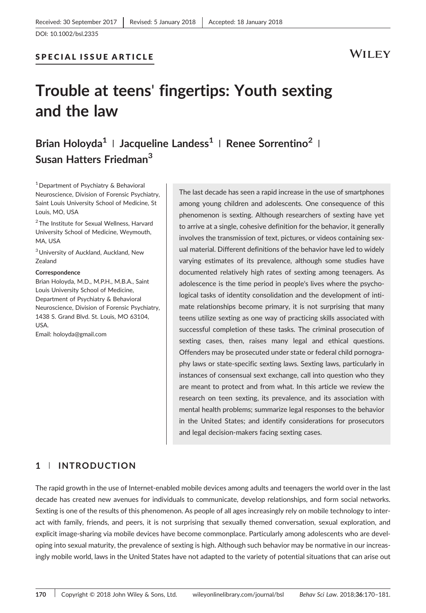### WILEY

# Trouble at teens' fingertips: Youth sexting and the law

## Brian Holoyda<sup>1</sup> | Jacqueline Landess<sup>1</sup> | Renee Sorrentino<sup>2</sup> | Susan Hatters Friedman<sup>3</sup>

<sup>1</sup> Department of Psychiatry & Behavioral Neuroscience, Division of Forensic Psychiatry, Saint Louis University School of Medicine, St Louis, MO, USA

<sup>2</sup>The Institute for Sexual Wellness, Harvard University School of Medicine, Weymouth, MA, USA

<sup>3</sup> University of Auckland, Auckland, New Zealand

#### Correspondence

Brian Holoyda, M.D., M.P.H., M.B.A., Saint Louis University School of Medicine, Department of Psychiatry & Behavioral Neuroscience, Division of Forensic Psychiatry, 1438 S. Grand Blvd. St. Louis, MO 63104, **USA** 

Email: [holoyda@gmail.com](mailto:holoyda@gmail.com)

The last decade has seen a rapid increase in the use of smartphones among young children and adolescents. One consequence of this phenomenon is sexting. Although researchers of sexting have yet to arrive at a single, cohesive definition for the behavior, it generally involves the transmission of text, pictures, or videos containing sexual material. Different definitions of the behavior have led to widely varying estimates of its prevalence, although some studies have documented relatively high rates of sexting among teenagers. As adolescence is the time period in people's lives where the psychological tasks of identity consolidation and the development of intimate relationships become primary, it is not surprising that many teens utilize sexting as one way of practicing skills associated with successful completion of these tasks. The criminal prosecution of sexting cases, then, raises many legal and ethical questions. Offenders may be prosecuted under state or federal child pornography laws or state‐specific sexting laws. Sexting laws, particularly in instances of consensual sext exchange, call into question who they are meant to protect and from what. In this article we review the research on teen sexting, its prevalence, and its association with mental health problems; summarize legal responses to the behavior in the United States; and identify considerations for prosecutors and legal decision‐makers facing sexting cases.

#### 1 | INTRODUCTION

The rapid growth in the use of Internet-enabled mobile devices among adults and teenagers the world over in the last decade has created new avenues for individuals to communicate, develop relationships, and form social networks. Sexting is one of the results of this phenomenon. As people of all ages increasingly rely on mobile technology to interact with family, friends, and peers, it is not surprising that sexually themed conversation, sexual exploration, and explicit image-sharing via mobile devices have become commonplace. Particularly among adolescents who are developing into sexual maturity, the prevalence of sexting is high. Although such behavior may be normative in our increasingly mobile world, laws in the United States have not adapted to the variety of potential situations that can arise out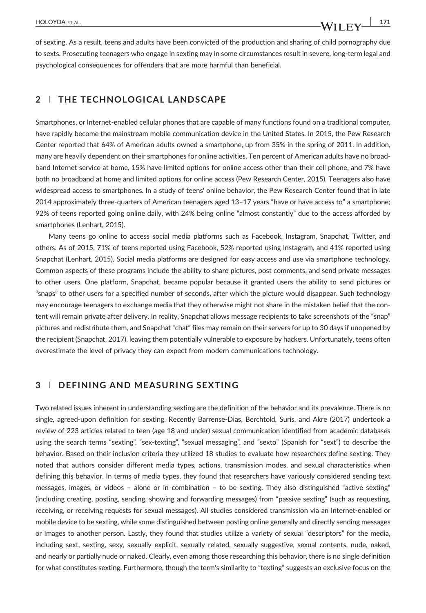of sexting. As a result, teens and adults have been convicted of the production and sharing of child pornography due to sexts. Prosecuting teenagers who engage in sexting may in some circumstances result in severe, long-term legal and psychological consequences for offenders that are more harmful than beneficial.

#### 2 | THE TECHNOLOGICAL LANDSCAPE

Smartphones, or Internet-enabled cellular phones that are capable of many functions found on a traditional computer, have rapidly become the mainstream mobile communication device in the United States. In 2015, the Pew Research Center reported that 64% of American adults owned a smartphone, up from 35% in the spring of 2011. In addition, many are heavily dependent on their smartphones for online activities. Ten percent of American adults have no broadband Internet service at home, 15% have limited options for online access other than their cell phone, and 7% have both no broadband at home and limited options for online access (Pew Research Center, 2015). Teenagers also have widespread access to smartphones. In a study of teens' online behavior, the Pew Research Center found that in late 2014 approximately three‐quarters of American teenagers aged 13–17 years "have or have access to" a smartphone; 92% of teens reported going online daily, with 24% being online "almost constantly" due to the access afforded by smartphones (Lenhart, 2015).

Many teens go online to access social media platforms such as Facebook, Instagram, Snapchat, Twitter, and others. As of 2015, 71% of teens reported using Facebook, 52% reported using Instagram, and 41% reported using Snapchat (Lenhart, 2015). Social media platforms are designed for easy access and use via smartphone technology. Common aspects of these programs include the ability to share pictures, post comments, and send private messages to other users. One platform, Snapchat, became popular because it granted users the ability to send pictures or "snaps" to other users for a specified number of seconds, after which the picture would disappear. Such technology may encourage teenagers to exchange media that they otherwise might not share in the mistaken belief that the content will remain private after delivery. In reality, Snapchat allows message recipients to take screenshots of the "snap" pictures and redistribute them, and Snapchat "chat" files may remain on their servers for up to 30 days if unopened by the recipient (Snapchat, 2017), leaving them potentially vulnerable to exposure by hackers. Unfortunately, teens often overestimate the level of privacy they can expect from modern communications technology.

#### 3 | DEFINING AND MEASURING SEXTING

Two related issues inherent in understanding sexting are the definition of the behavior and its prevalence. There is no single, agreed-upon definition for sexting. Recently Barrense-Dias, Berchtold, Suris, and Akre (2017) undertook a review of 223 articles related to teen (age 18 and under) sexual communication identified from academic databases using the search terms "sexting", "sex-texting", "sexual messaging", and "sexto" (Spanish for "sext") to describe the behavior. Based on their inclusion criteria they utilized 18 studies to evaluate how researchers define sexting. They noted that authors consider different media types, actions, transmission modes, and sexual characteristics when defining this behavior. In terms of media types, they found that researchers have variously considered sending text messages, images, or videos – alone or in combination – to be sexting. They also distinguished "active sexting" (including creating, posting, sending, showing and forwarding messages) from "passive sexting" (such as requesting, receiving, or receiving requests for sexual messages). All studies considered transmission via an Internet‐enabled or mobile device to be sexting, while some distinguished between posting online generally and directly sending messages or images to another person. Lastly, they found that studies utilize a variety of sexual "descriptors" for the media, including sext, sexting, sexy, sexually explicit, sexually related, sexually suggestive, sexual contents, nude, naked, and nearly or partially nude or naked. Clearly, even among those researching this behavior, there is no single definition for what constitutes sexting. Furthermore, though the term's similarity to "texting" suggests an exclusive focus on the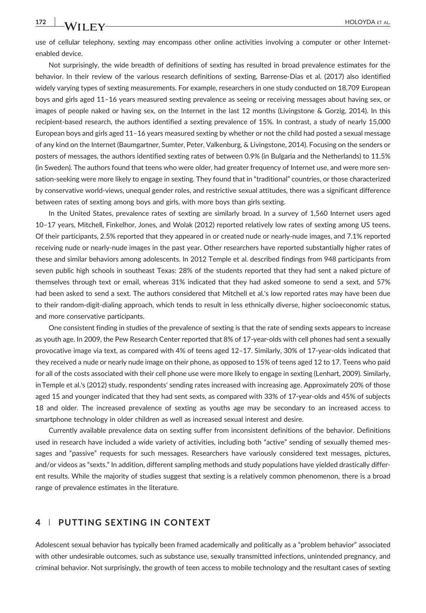use of cellular telephony, sexting may encompass other online activities involving a computer or other Internet‐ enabled device.

Not surprisingly, the wide breadth of definitions of sexting has resulted in broad prevalence estimates for the behavior. In their review of the various research definitions of sexting, Barrense‐Dias et al. (2017) also identified widely varying types of sexting measurements. For example, researchers in one study conducted on 18,709 European boys and girls aged 11–16 years measured sexting prevalence as seeing or receiving messages about having sex, or images of people naked or having sex, on the Internet in the last 12 months (Livingstone & Gorzig, 2014). In this recipient‐based research, the authors identified a sexting prevalence of 15%. In contrast, a study of nearly 15,000 European boys and girls aged 11–16 years measured sexting by whether or not the child had posted a sexual message of any kind on the Internet (Baumgartner, Sumter, Peter, Valkenburg, & Livingstone, 2014). Focusing on the senders or posters of messages, the authors identified sexting rates of between 0.9% (in Bulgaria and the Netherlands) to 11.5% (in Sweden). The authors found that teens who were older, had greater frequency of Internet use, and were more sensation‐seeking were more likely to engage in sexting. They found that in "traditional" countries, or those characterized by conservative world‐views, unequal gender roles, and restrictive sexual attitudes, there was a significant difference between rates of sexting among boys and girls, with more boys than girls sexting.

In the United States, prevalence rates of sexting are similarly broad. In a survey of 1,560 Internet users aged 10–17 years, Mitchell, Finkelhor, Jones, and Wolak (2012) reported relatively low rates of sexting among US teens. Of their participants, 2.5% reported that they appeared in or created nude or nearly‐nude images, and 7.1% reported receiving nude or nearly‐nude images in the past year. Other researchers have reported substantially higher rates of these and similar behaviors among adolescents. In 2012 Temple et al. described findings from 948 participants from seven public high schools in southeast Texas: 28% of the students reported that they had sent a naked picture of themselves through text or email, whereas 31% indicated that they had asked someone to send a sext, and 57% had been asked to send a sext. The authors considered that Mitchell et al.'s low reported rates may have been due to their random‐digit‐dialing approach, which tends to result in less ethnically diverse, higher socioeconomic status, and more conservative participants.

One consistent finding in studies of the prevalence of sexting is that the rate of sending sexts appears to increase as youth age. In 2009, the Pew Research Center reported that 8% of 17-year-olds with cell phones had sent a sexually provocative image via text, as compared with 4% of teens aged 12–17. Similarly, 30% of 17‐year‐olds indicated that they received a nude or nearly nude image on their phone, as opposed to 15% of teens aged 12 to 17. Teens who paid for all of the costs associated with their cell phone use were more likely to engage in sexting (Lenhart, 2009). Similarly, in Temple et al.'s (2012) study, respondents' sending rates increased with increasing age. Approximately 20% of those aged 15 and younger indicated that they had sent sexts, as compared with 33% of 17‐year‐olds and 45% of subjects 18 and older. The increased prevalence of sexting as youths age may be secondary to an increased access to smartphone technology in older children as well as increased sexual interest and desire.

Currently available prevalence data on sexting suffer from inconsistent definitions of the behavior. Definitions used in research have included a wide variety of activities, including both "active" sending of sexually themed messages and "passive" requests for such messages. Researchers have variously considered text messages, pictures, and/or videos as "sexts." In addition, different sampling methods and study populations have yielded drastically different results. While the majority of studies suggest that sexting is a relatively common phenomenon, there is a broad range of prevalence estimates in the literature.

#### 4 | PUTTING SEXTING IN CONTEXT

Adolescent sexual behavior has typically been framed academically and politically as a "problem behavior" associated with other undesirable outcomes, such as substance use, sexually transmitted infections, unintended pregnancy, and criminal behavior. Not surprisingly, the growth of teen access to mobile technology and the resultant cases of sexting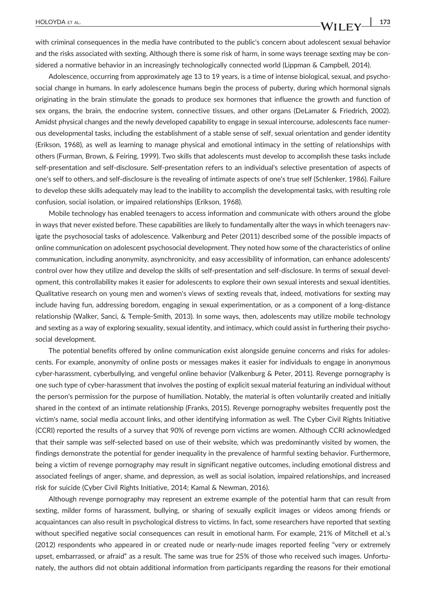with criminal consequences in the media have contributed to the public's concern about adolescent sexual behavior and the risks associated with sexting. Although there is some risk of harm, in some ways teenage sexting may be considered a normative behavior in an increasingly technologically connected world (Lippman & Campbell, 2014).

Adolescence, occurring from approximately age 13 to 19 years, is a time of intense biological, sexual, and psychosocial change in humans. In early adolescence humans begin the process of puberty, during which hormonal signals originating in the brain stimulate the gonads to produce sex hormones that influence the growth and function of sex organs, the brain, the endocrine system, connective tissues, and other organs (DeLamater & Friedrich, 2002). Amidst physical changes and the newly developed capability to engage in sexual intercourse, adolescents face numerous developmental tasks, including the establishment of a stable sense of self, sexual orientation and gender identity (Erikson, 1968), as well as learning to manage physical and emotional intimacy in the setting of relationships with others (Furman, Brown, & Feiring, 1999). Two skills that adolescents must develop to accomplish these tasks include self‐presentation and self‐disclosure. Self‐presentation refers to an individual's selective presentation of aspects of one's self to others, and self‐disclosure is the revealing of intimate aspects of one's true self (Schlenker, 1986). Failure to develop these skills adequately may lead to the inability to accomplish the developmental tasks, with resulting role confusion, social isolation, or impaired relationships (Erikson, 1968).

Mobile technology has enabled teenagers to access information and communicate with others around the globe in ways that never existed before. These capabilities are likely to fundamentally alter the ways in which teenagers navigate the psychosocial tasks of adolescence. Valkenburg and Peter (2011) described some of the possible impacts of online communication on adolescent psychosocial development. They noted how some of the characteristics of online communication, including anonymity, asynchronicity, and easy accessibility of information, can enhance adolescents' control over how they utilize and develop the skills of self‐presentation and self‐disclosure. In terms of sexual development, this controllability makes it easier for adolescents to explore their own sexual interests and sexual identities. Qualitative research on young men and women's views of sexting reveals that, indeed, motivations for sexting may include having fun, addressing boredom, engaging in sexual experimentation, or as a component of a long‐distance relationship (Walker, Sanci, & Temple‐Smith, 2013). In some ways, then, adolescents may utilize mobile technology and sexting as a way of exploring sexuality, sexual identity, and intimacy, which could assist in furthering their psychosocial development.

The potential benefits offered by online communication exist alongside genuine concerns and risks for adolescents. For example, anonymity of online posts or messages makes it easier for individuals to engage in anonymous cyber‐harassment, cyberbullying, and vengeful online behavior (Valkenburg & Peter, 2011). Revenge pornography is one such type of cyber-harassment that involves the posting of explicit sexual material featuring an individual without the person's permission for the purpose of humiliation. Notably, the material is often voluntarily created and initially shared in the context of an intimate relationship (Franks, 2015). Revenge pornography websites frequently post the victim's name, social media account links, and other identifying information as well. The Cyber Civil Rights Initiative (CCRI) reported the results of a survey that 90% of revenge porn victims are women. Although CCRI acknowledged that their sample was self‐selected based on use of their website, which was predominantly visited by women, the findings demonstrate the potential for gender inequality in the prevalence of harmful sexting behavior. Furthermore, being a victim of revenge pornography may result in significant negative outcomes, including emotional distress and associated feelings of anger, shame, and depression, as well as social isolation, impaired relationships, and increased risk for suicide (Cyber Civil Rights Initiative, 2014; Kamal & Newman, 2016).

Although revenge pornography may represent an extreme example of the potential harm that can result from sexting, milder forms of harassment, bullying, or sharing of sexually explicit images or videos among friends or acquaintances can also result in psychological distress to victims. In fact, some researchers have reported that sexting without specified negative social consequences can result in emotional harm. For example, 21% of Mitchell et al.'s (2012) respondents who appeared in or created nude or nearly‐nude images reported feeling "very or extremely upset, embarrassed, or afraid" as a result. The same was true for 25% of those who received such images. Unfortunately, the authors did not obtain additional information from participants regarding the reasons for their emotional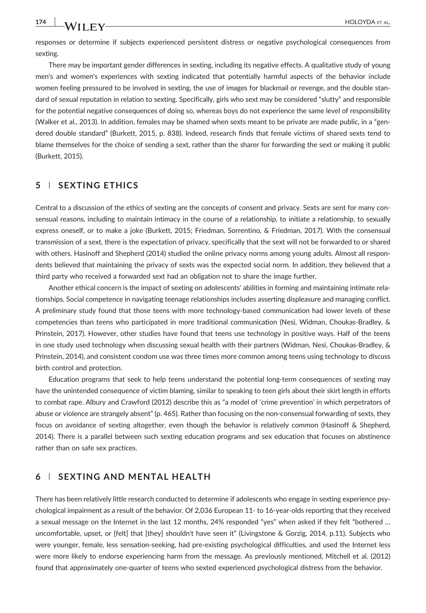responses or determine if subjects experienced persistent distress or negative psychological consequences from sexting.

There may be important gender differences in sexting, including its negative effects. A qualitative study of young men's and women's experiences with sexting indicated that potentially harmful aspects of the behavior include women feeling pressured to be involved in sexting, the use of images for blackmail or revenge, and the double standard of sexual reputation in relation to sexting. Specifically, girls who sext may be considered "slutty" and responsible for the potential negative consequences of doing so, whereas boys do not experience the same level of responsibility (Walker et al., 2013). In addition, females may be shamed when sexts meant to be private are made public, in a "gendered double standard" (Burkett, 2015, p. 838). Indeed, research finds that female victims of shared sexts tend to blame themselves for the choice of sending a sext, rather than the sharer for forwarding the sext or making it public (Burkett, 2015).

#### 5 | SEXTING ETHICS

Central to a discussion of the ethics of sexting are the concepts of consent and privacy. Sexts are sent for many consensual reasons, including to maintain intimacy in the course of a relationship, to initiate a relationship, to sexually express oneself, or to make a joke (Burkett, 2015; Friedman, Sorrentino, & Friedman, 2017). With the consensual transmission of a sext, there is the expectation of privacy, specifically that the sext will not be forwarded to or shared with others. Hasinoff and Shepherd (2014) studied the online privacy norms among young adults. Almost all respondents believed that maintaining the privacy of sexts was the expected social norm. In addition, they believed that a third party who received a forwarded sext had an obligation not to share the image further.

Another ethical concern is the impact of sexting on adolescents' abilities in forming and maintaining intimate relationships. Social competence in navigating teenage relationships includes asserting displeasure and managing conflict. A preliminary study found that those teens with more technology-based communication had lower levels of these competencies than teens who participated in more traditional communication (Nesi, Widman, Choukas‐Bradley, & Prinstein, 2017). However, other studies have found that teens use technology in positive ways. Half of the teens in one study used technology when discussing sexual health with their partners (Widman, Nesi, Choukas‐Bradley, & Prinstein, 2014), and consistent condom use was three times more common among teens using technology to discuss birth control and protection.

Education programs that seek to help teens understand the potential long-term consequences of sexting may have the unintended consequence of victim blaming, similar to speaking to teen girls about their skirt length in efforts to combat rape. Albury and Crawford (2012) describe this as "a model of 'crime prevention' in which perpetrators of abuse or violence are strangely absent" (p. 465). Rather than focusing on the non-consensual forwarding of sexts, they focus on avoidance of sexting altogether, even though the behavior is relatively common (Hasinoff & Shepherd, 2014). There is a parallel between such sexting education programs and sex education that focuses on abstinence rather than on safe sex practices.

#### 6 | SEXTING AND MENTAL HEALTH

There has been relatively little research conducted to determine if adolescents who engage in sexting experience psychological impairment as a result of the behavior. Of 2,036 European 11‐ to 16‐year‐olds reporting that they received a sexual message on the Internet in the last 12 months, 24% responded "yes" when asked if they felt "bothered … uncomfortable, upset, or [felt] that [they] shouldn't have seen it" (Livingstone & Gorzig, 2014, p.11). Subjects who were younger, female, less sensation-seeking, had pre-existing psychological difficulties, and used the Internet less were more likely to endorse experiencing harm from the message. As previously mentioned, Mitchell et al. (2012) found that approximately one‐quarter of teens who sexted experienced psychological distress from the behavior.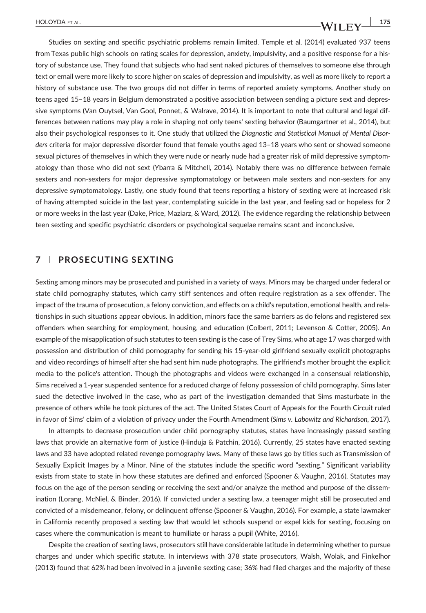Studies on sexting and specific psychiatric problems remain limited. Temple et al. (2014) evaluated 937 teens from Texas public high schools on rating scales for depression, anxiety, impulsivity, and a positive response for a history of substance use. They found that subjects who had sent naked pictures of themselves to someone else through text or email were more likely to score higher on scales of depression and impulsivity, as well as more likely to report a history of substance use. The two groups did not differ in terms of reported anxiety symptoms. Another study on teens aged 15–18 years in Belgium demonstrated a positive association between sending a picture sext and depressive symptoms (Van Ouytsel, Van Gool, Ponnet, & Walrave, 2014). It is important to note that cultural and legal differences between nations may play a role in shaping not only teens' sexting behavior (Baumgartner et al., 2014), but also their psychological responses to it. One study that utilized the Diagnostic and Statistical Manual of Mental Disorders criteria for major depressive disorder found that female youths aged 13–18 years who sent or showed someone sexual pictures of themselves in which they were nude or nearly nude had a greater risk of mild depressive symptomatology than those who did not sext (Ybarra & Mitchell, 2014). Notably there was no difference between female sexters and non-sexters for major depressive symptomatology or between male sexters and non-sexters for any depressive symptomatology. Lastly, one study found that teens reporting a history of sexting were at increased risk of having attempted suicide in the last year, contemplating suicide in the last year, and feeling sad or hopeless for 2 or more weeks in the last year (Dake, Price, Maziarz, & Ward, 2012). The evidence regarding the relationship between teen sexting and specific psychiatric disorders or psychological sequelae remains scant and inconclusive.

#### 7 | PROSECUTING SEXTING

Sexting among minors may be prosecuted and punished in a variety of ways. Minors may be charged under federal or state child pornography statutes, which carry stiff sentences and often require registration as a sex offender. The impact of the trauma of prosecution, a felony conviction, and effects on a child's reputation, emotional health, and relationships in such situations appear obvious. In addition, minors face the same barriers as do felons and registered sex offenders when searching for employment, housing, and education (Colbert, 2011; Levenson & Cotter, 2005). An example of the misapplication of such statutes to teen sexting is the case of Trey Sims, who at age 17 was charged with possession and distribution of child pornography for sending his 15‐year‐old girlfriend sexually explicit photographs and video recordings of himself after she had sent him nude photographs. The girlfriend's mother brought the explicit media to the police's attention. Though the photographs and videos were exchanged in a consensual relationship, Sims received a 1‐year suspended sentence for a reduced charge of felony possession of child pornography. Sims later sued the detective involved in the case, who as part of the investigation demanded that Sims masturbate in the presence of others while he took pictures of the act. The United States Court of Appeals for the Fourth Circuit ruled in favor of Sims' claim of a violation of privacy under the Fourth Amendment (Sims v. Labowitz and Richardson, 2017).

In attempts to decrease prosecution under child pornography statutes, states have increasingly passed sexting laws that provide an alternative form of justice (Hinduja & Patchin, 2016). Currently, 25 states have enacted sexting laws and 33 have adopted related revenge pornography laws. Many of these laws go by titles such as Transmission of Sexually Explicit Images by a Minor. Nine of the statutes include the specific word "sexting." Significant variability exists from state to state in how these statutes are defined and enforced (Spooner & Vaughn, 2016). Statutes may focus on the age of the person sending or receiving the sext and/or analyze the method and purpose of the dissemination (Lorang, McNiel, & Binder, 2016). If convicted under a sexting law, a teenager might still be prosecuted and convicted of a misdemeanor, felony, or delinquent offense (Spooner & Vaughn, 2016). For example, a state lawmaker in California recently proposed a sexting law that would let schools suspend or expel kids for sexting, focusing on cases where the communication is meant to humiliate or harass a pupil (White, 2016).

Despite the creation of sexting laws, prosecutors still have considerable latitude in determining whether to pursue charges and under which specific statute. In interviews with 378 state prosecutors, Walsh, Wolak, and Finkelhor (2013) found that 62% had been involved in a juvenile sexting case; 36% had filed charges and the majority of these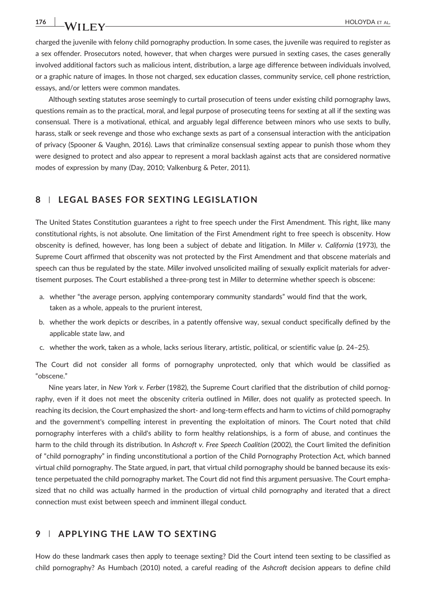charged the juvenile with felony child pornography production. In some cases, the juvenile was required to register as a sex offender. Prosecutors noted, however, that when charges were pursued in sexting cases, the cases generally involved additional factors such as malicious intent, distribution, a large age difference between individuals involved, or a graphic nature of images. In those not charged, sex education classes, community service, cell phone restriction, essays, and/or letters were common mandates.

Although sexting statutes arose seemingly to curtail prosecution of teens under existing child pornography laws, questions remain as to the practical, moral, and legal purpose of prosecuting teens for sexting at all if the sexting was consensual. There is a motivational, ethical, and arguably legal difference between minors who use sexts to bully, harass, stalk or seek revenge and those who exchange sexts as part of a consensual interaction with the anticipation of privacy (Spooner & Vaughn, 2016). Laws that criminalize consensual sexting appear to punish those whom they were designed to protect and also appear to represent a moral backlash against acts that are considered normative modes of expression by many (Day, 2010; Valkenburg & Peter, 2011).

#### 8 | LEGAL BASES FOR SEXTING LEGISLATION

The United States Constitution guarantees a right to free speech under the First Amendment. This right, like many constitutional rights, is not absolute. One limitation of the First Amendment right to free speech is obscenity. How obscenity is defined, however, has long been a subject of debate and litigation. In Miller v. California (1973), the Supreme Court affirmed that obscenity was not protected by the First Amendment and that obscene materials and speech can thus be regulated by the state. Miller involved unsolicited mailing of sexually explicit materials for advertisement purposes. The Court established a three‐prong test in Miller to determine whether speech is obscene:

- a. whether "the average person, applying contemporary community standards" would find that the work, taken as a whole, appeals to the prurient interest,
- b. whether the work depicts or describes, in a patently offensive way, sexual conduct specifically defined by the applicable state law, and
- c. whether the work, taken as a whole, lacks serious literary, artistic, political, or scientific value (p. 24–25).

The Court did not consider all forms of pornography unprotected, only that which would be classified as "obscene."

Nine years later, in New York v. Ferber (1982), the Supreme Court clarified that the distribution of child pornography, even if it does not meet the obscenity criteria outlined in Miller, does not qualify as protected speech. In reaching its decision, the Court emphasized the short- and long-term effects and harm to victims of child pornography and the government's compelling interest in preventing the exploitation of minors. The Court noted that child pornography interferes with a child's ability to form healthy relationships, is a form of abuse, and continues the harm to the child through its distribution. In Ashcroft v. Free Speech Coalition (2002), the Court limited the definition of "child pornography" in finding unconstitutional a portion of the Child Pornography Protection Act, which banned virtual child pornography. The State argued, in part, that virtual child pornography should be banned because its existence perpetuated the child pornography market. The Court did not find this argument persuasive. The Court emphasized that no child was actually harmed in the production of virtual child pornography and iterated that a direct connection must exist between speech and imminent illegal conduct.

#### 9 | APPLYING THE LAW TO SEXTING

How do these landmark cases then apply to teenage sexting? Did the Court intend teen sexting to be classified as child pornography? As Humbach (2010) noted, a careful reading of the Ashcroft decision appears to define child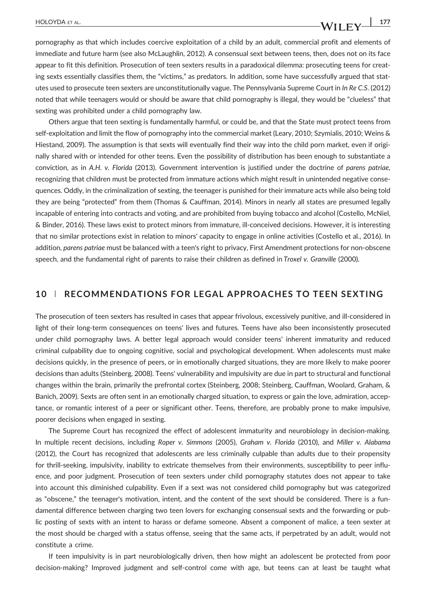pornography as that which includes coercive exploitation of a child by an adult, commercial profit and elements of immediate and future harm (see also McLaughlin, 2012). A consensual sext between teens, then, does not on its face appear to fit this definition. Prosecution of teen sexters results in a paradoxical dilemma: prosecuting teens for creating sexts essentially classifies them, the "victims," as predators. In addition, some have successfully argued that statutes used to prosecute teen sexters are unconstitutionally vague. The Pennsylvania Supreme Court in In Re C.S. (2012) noted that while teenagers would or should be aware that child pornography is illegal, they would be "clueless" that sexting was prohibited under a child pornography law.

Others argue that teen sexting is fundamentally harmful, or could be, and that the State must protect teens from self-exploitation and limit the flow of pornography into the commercial market (Leary, 2010; Szymialis, 2010; Weins & Hiestand, 2009). The assumption is that sexts will eventually find their way into the child porn market, even if originally shared with or intended for other teens. Even the possibility of distribution has been enough to substantiate a conviction, as in A.H. v. Florida (2013). Government intervention is justified under the doctrine of parens patriae, recognizing that children must be protected from immature actions which might result in unintended negative consequences. Oddly, in the criminalization of sexting, the teenager is punished for their immature acts while also being told they are being "protected" from them (Thomas & Cauffman, 2014). Minors in nearly all states are presumed legally incapable of entering into contracts and voting, and are prohibited from buying tobacco and alcohol (Costello, McNiel, & Binder, 2016). These laws exist to protect minors from immature, ill‐conceived decisions. However, it is interesting that no similar protections exist in relation to minors' capacity to engage in online activities (Costello et al., 2016). In addition, parens patriae must be balanced with a teen's right to privacy, First Amendment protections for non‐obscene speech, and the fundamental right of parents to raise their children as defined in Troxel v. Granville (2000).

#### 10 | RECOMMENDATIONS FOR LEGAL APPROACHES TO TEEN SEXTING

The prosecution of teen sexters has resulted in cases that appear frivolous, excessively punitive, and ill‐considered in light of their long‐term consequences on teens' lives and futures. Teens have also been inconsistently prosecuted under child pornography laws. A better legal approach would consider teens' inherent immaturity and reduced criminal culpability due to ongoing cognitive, social and psychological development. When adolescents must make decisions quickly, in the presence of peers, or in emotionally charged situations, they are more likely to make poorer decisions than adults (Steinberg, 2008). Teens' vulnerability and impulsivity are due in part to structural and functional changes within the brain, primarily the prefrontal cortex (Steinberg, 2008; Steinberg, Cauffman, Woolard, Graham, & Banich, 2009). Sexts are often sent in an emotionally charged situation, to express or gain the love, admiration, acceptance, or romantic interest of a peer or significant other. Teens, therefore, are probably prone to make impulsive, poorer decisions when engaged in sexting.

The Supreme Court has recognized the effect of adolescent immaturity and neurobiology in decision‐making. In multiple recent decisions, including Roper v. Simmons (2005), Graham v. Florida (2010), and Miller v. Alabama (2012), the Court has recognized that adolescents are less criminally culpable than adults due to their propensity for thrill-seeking, impulsivity, inability to extricate themselves from their environments, susceptibility to peer influence, and poor judgment. Prosecution of teen sexters under child pornography statutes does not appear to take into account this diminished culpability. Even if a sext was not considered child pornography but was categorized as "obscene," the teenager's motivation, intent, and the content of the sext should be considered. There is a fundamental difference between charging two teen lovers for exchanging consensual sexts and the forwarding or public posting of sexts with an intent to harass or defame someone. Absent a component of malice, a teen sexter at the most should be charged with a status offense, seeing that the same acts, if perpetrated by an adult, would not constitute a crime.

If teen impulsivity is in part neurobiologically driven, then how might an adolescent be protected from poor decision‐making? Improved judgment and self‐control come with age, but teens can at least be taught what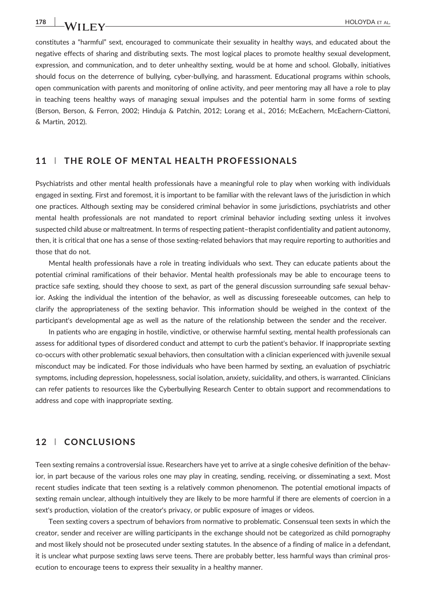constitutes a "harmful" sext, encouraged to communicate their sexuality in healthy ways, and educated about the negative effects of sharing and distributing sexts. The most logical places to promote healthy sexual development, expression, and communication, and to deter unhealthy sexting, would be at home and school. Globally, initiatives should focus on the deterrence of bullying, cyber-bullying, and harassment. Educational programs within schools, open communication with parents and monitoring of online activity, and peer mentoring may all have a role to play in teaching teens healthy ways of managing sexual impulses and the potential harm in some forms of sexting (Berson, Berson, & Ferron, 2002; Hinduja & Patchin, 2012; Lorang et al., 2016; McEachern, McEachern‐Ciattoni, & Martin, 2012).

#### 11 | THE ROLE OF MENTAL HEALTH PROFESSIONALS

Psychiatrists and other mental health professionals have a meaningful role to play when working with individuals engaged in sexting. First and foremost, it is important to be familiar with the relevant laws of the jurisdiction in which one practices. Although sexting may be considered criminal behavior in some jurisdictions, psychiatrists and other mental health professionals are not mandated to report criminal behavior including sexting unless it involves suspected child abuse or maltreatment. In terms of respecting patient–therapist confidentiality and patient autonomy, then, it is critical that one has a sense of those sexting‐related behaviors that may require reporting to authorities and those that do not.

Mental health professionals have a role in treating individuals who sext. They can educate patients about the potential criminal ramifications of their behavior. Mental health professionals may be able to encourage teens to practice safe sexting, should they choose to sext, as part of the general discussion surrounding safe sexual behavior. Asking the individual the intention of the behavior, as well as discussing foreseeable outcomes, can help to clarify the appropriateness of the sexting behavior. This information should be weighed in the context of the participant's developmental age as well as the nature of the relationship between the sender and the receiver.

In patients who are engaging in hostile, vindictive, or otherwise harmful sexting, mental health professionals can assess for additional types of disordered conduct and attempt to curb the patient's behavior. If inappropriate sexting co-occurs with other problematic sexual behaviors, then consultation with a clinician experienced with juvenile sexual misconduct may be indicated. For those individuals who have been harmed by sexting, an evaluation of psychiatric symptoms, including depression, hopelessness, social isolation, anxiety, suicidality, and others, is warranted. Clinicians can refer patients to resources like the Cyberbullying Research Center to obtain support and recommendations to address and cope with inappropriate sexting.

#### 12 | CONCLUSIONS

Teen sexting remains a controversial issue. Researchers have yet to arrive at a single cohesive definition of the behavior, in part because of the various roles one may play in creating, sending, receiving, or disseminating a sext. Most recent studies indicate that teen sexting is a relatively common phenomenon. The potential emotional impacts of sexting remain unclear, although intuitively they are likely to be more harmful if there are elements of coercion in a sext's production, violation of the creator's privacy, or public exposure of images or videos.

Teen sexting covers a spectrum of behaviors from normative to problematic. Consensual teen sexts in which the creator, sender and receiver are willing participants in the exchange should not be categorized as child pornography and most likely should not be prosecuted under sexting statutes. In the absence of a finding of malice in a defendant, it is unclear what purpose sexting laws serve teens. There are probably better, less harmful ways than criminal prosecution to encourage teens to express their sexuality in a healthy manner.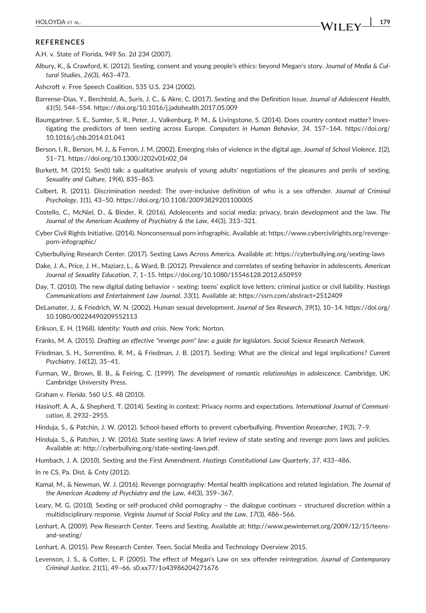#### REFERENCES

A.H. v. State of Florida, 949 So. 2d 234 (2007).

- Albury, K., & Crawford, K. (2012). Sexting, consent and young people's ethics: beyond Megan's story. Journal of Media & Cultural Studies, 26(3), 463–473.
- Ashcroft v. Free Speech Coalition, 535 U.S. 234 (2002).
- Barrense-Dias, Y., Berchtold, A., Suris, J. C., & Akre, C. (2017). Sexting and the Definition Issue. Journal of Adolescent Health, 61(5), 544–554.<https://doi.org/10.1016/j.jadohealth.2017.05.009>
- Baumgartner, S. E., Sumter, S. R., Peter, J., Valkenburg, P. M., & Livingstone, S. (2014). Does country context matter? Investigating the predictors of teen sexting across Europe. Computers in Human Behavior, 34, 157–164. [https://doi.org/](https://doi.org/10.1016/j.chb.2014.01.041) [10.1016/j.chb.2014.01.041](https://doi.org/10.1016/j.chb.2014.01.041)
- Berson, I. R., Berson, M. J., & Ferron, J. M. (2002). Emerging risks of violence in the digital age. Journal of School Violence, 1(2), 51–71. [https://doi.org/10.1300/J202v01n02\\_04](https://doi.org/10.1300/J202v01n02_04)
- Burkett, M. (2015). Sex(t) talk: a qualitative analysis of young adults' negotiations of the pleasures and perils of sexting. Sexuality and Culture, 19(4), 835–863.
- Colbert, R. (2011). Discrimination needed: The over‐inclusive definition of who is a sex offender. Journal of Criminal Psychology, 1(1), 43–50.<https://doi.org/10.1108/20093829201100005>
- Costello, C., McNiel, D., & Binder, R. (2016). Adolescents and social media: privacy, brain development and the law. The Journal of the American Academy of Psychiatry & the Law, 44(3), 313–321.
- Cyber Civil Rights Initiative. (2014). Nonconsensual porn infographic. Available at: [https://www.cybercivilrights.org/revenge](https://www.cybercivilrights.org/revenge-porn-infographic/)‐ porn‐[infographic/](https://www.cybercivilrights.org/revenge-porn-infographic/)
- Cyberbullying Research Center. (2017). Sexting Laws Across America. Available at: [https://cyberbullying.org/sexting](https://cyberbullying.org/sexting-laws)‐laws
- Dake, J. A., Price, J. H., Maziarz, L., & Ward, B. (2012). Prevalence and correlates of sexting behavior in adolescents. American Journal of Sexuality Education, 7, 1–15.<https://doi.org/10.1080/15546128.2012.650959>
- Day, T. (2010). The new digital dating behavior sexting: teens' explicit love letters: criminal justice or civil liability. Hastings Communications and Entertainment Law Journal, 33(1). Available at:<https://ssrn.com/abstract=2512409>
- DeLamater, J., & Friedrich, W. N. (2002). Human sexual development. Journal of Sex Research, 39(1), 10–14. [https://doi.org/](https://doi.org/10.1080/00224490209552113) [10.1080/00224490209552113](https://doi.org/10.1080/00224490209552113)
- Erikson, E. H. (1968). Identity: Youth and crisis. New York: Norton.
- Franks, M. A. (2015). Drafting an effective "revenge porn" law: a guide for legislators. Social Science Research Network.
- Friedman, S. H., Sorrentino, R. M., & Friedman, J. B. (2017). Sexting: What are the clinical and legal implications? Current Psychiatry, 16(12), 35–41.
- Furman, W., Brown, B. B., & Feiring, C. (1999). The development of romantic relationships in adolescence. Cambridge, UK: Cambridge University Press.
- Graham v. Florida, [560](https://en.wikipedia.org/wiki/List_of_United_States_Supreme_Court_cases,_volume_560) [U.S.](https://en.wikipedia.org/wiki/United_States_Reports) [48](https://supreme.justia.com/cases/federal/us/560/48/) (2010).
- Hasinoff, A. A., & Shepherd, T. (2014). Sexting in context: Privacy norms and expectations. International Journal of Communication, 8, 2932–2955.
- Hinduja, S., & Patchin, J. W. (2012). School‐based efforts to prevent cyberbullying. Prevention Researcher, 19(3), 7–9.
- Hinduja, S., & Patchin, J. W. (2016). State sexting laws: A brief review of state sexting and revenge porn laws and policies. Available at: [http://cyberbullying.org/state](http://cyberbullying.org/state-sexting-laws.pdf)‐sexting‐laws.pdf.
- Humbach, J. A. (2010). Sexting and the First Amendment. Hastings Constitutional Law Quarterly, 37, 433–486.
- In re CS, Pa. Dist. & Cnty (2012).
- Kamal, M., & Newman, W. J. (2016). Revenge pornography: Mental health implications and related legislation. The Journal of the American Academy of Psychiatry and the Law, 44(3), 359–367.
- Leary, M. G. (2010). Sexting or self-produced child pornography the dialogue continues structured discretion within a multidisciplinary response. Virginia Journal of Social Policy and the Law, 17(3), 486–566.
- Lenhart, A. (2009). Pew Research Center. Teens and Sexting. Available at: [http://www.pewinternet.org/2009/12/15/teens](http://www.pewinternet.org/2009/12/15/teens-and-sexting/)‐ and‐[sexting/](http://www.pewinternet.org/2009/12/15/teens-and-sexting/)
- Lenhart, A. (2015). Pew Research Center. Teen, Social Media and Technology Overview 2015.
- Levenson, J. S., & Cotter, L. P. (2005). The effect of Megan's Law on sex offender reintegration. Journal of Contemporary Criminal Justice, 21(1), 49–66. s0.xx77/1o43986204271676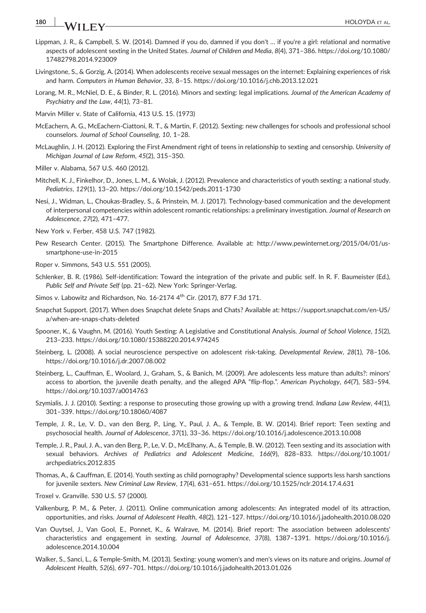### 180 HOLOYDA ET AL.

- Lippman, J. R., & Campbell, S. W. (2014). Damned if you do, damned if you don't … if you're a girl: relational and normative aspects of adolescent sexting in the United States. Journal of Children and Media, 8(4), 371–386. [https://doi.org/10.1080/](https://doi.org/10.1080/17482798.2014.923009) [17482798.2014.923009](https://doi.org/10.1080/17482798.2014.923009)
- Livingstone, S., & Gorzig, A. (2014). When adolescents receive sexual messages on the internet: Explaining experiences of risk and harm. Computers in Human Behavior, 33, 8–15.<https://doi.org/10.1016/j.chb.2013.12.021>
- Lorang, M. R., McNiel, D. E., & Binder, R. L. (2016). Minors and sexting: legal implications. Journal of the American Academy of Psychiatry and the Law, 44(1), 73–81.

Marvin Miller v. State of California, 413 U.S. 15. (1973)

- McEachern, A. G., McEachern‐Ciattoni, R. T., & Martin, F. (2012). Sexting: new challenges for schools and professional school counselors. Journal of School Counseling, 10, 1–28.
- McLaughlin, J. H. (2012). Exploring the First Amendment right of teens in relationship to sexting and censorship. University of Michigan Journal of Law Reform, 45(2), 315–350.
- Miller v. Alabama, [567](https://en.wikipedia.org/wiki/List_of_United_States_Supreme_Court_cases,_volume_567) [U.S.](https://en.wikipedia.org/wiki/United_States_Reports) 460 (2012).
- Mitchell, K. J., Finkelhor, D., Jones, L. M., & Wolak, J. (2012). Prevalence and characteristics of youth sexting: a national study. Pediatrics, 129(1), 13–20. [https://doi.org/10.1542/peds.2011](https://doi.org/10.1542/peds.2011-1730)‐1730
- Nesi, J., Widman, L., Choukas‐Bradley, S., & Prinstein, M. J. (2017). Technology‐based communication and the development of interpersonal competencies within adolescent romantic relationships: a preliminary investigation. Journal of Research on Adolescence, 27(2), 471–477.
- New York v. Ferber, 458 U.S. 747 (1982).
- Pew Research Center. (2015). The Smartphone Difference. Available at: [http://www.pewinternet.org/2015/04/01/us](http://www.pewinternet.org/2015/04/01/us-smartphone-use-in-2015)[smartphone](http://www.pewinternet.org/2015/04/01/us-smartphone-use-in-2015)‐use‐in‐2015
- Roper v. Simmons, 543 U.S. 551 (2005).
- Schlenker, B. R. (1986). Self-identification: Toward the integration of the private and public self. In R. F. Baumeister (Ed.), Public Self and Private Self (pp. 21–62). New York: Springer‐Verlag.
- Simos v. Labowitz and Richardson, No. 16-2174 4<sup>th</sup> Cir. (2017), 877 F.3d 171.
- Snapchat Support. (2017). When does Snapchat delete Snaps and Chats? Available at: [https://support.snapchat.com/en](https://support.snapchat.com/en-US/a/when-are-snaps-chats-deleted)‐US/ [a/when](https://support.snapchat.com/en-US/a/when-are-snaps-chats-deleted)‐are‐snaps‐chats‐deleted
- Spooner, K., & Vaughn, M. (2016). Youth Sexting: A Legislative and Constitutional Analysis. Journal of School Violence, 15(2), 213–233.<https://doi.org/10.1080/15388220.2014.974245>
- Steinberg, L. (2008). A social neuroscience perspective on adolescent risk‐taking. Developmental Review, 28(1), 78–106. <https://doi.org/10.1016/j.dr.2007.08.002>
- Steinberg, L., Cauffman, E., Woolard, J., Graham, S., & Banich, M. (2009). Are adolescents less mature than adults?: minors' access to abortion, the juvenile death penalty, and the alleged APA "flip‐flop.". American Psychology, 64(7), 583–594. <https://doi.org/10.1037/a0014763>
- Szymialis, J. J. (2010). Sexting: a response to prosecuting those growing up with a growing trend. Indiana Law Review, 44(1), 301–339.<https://doi.org/10.18060/4087>
- Temple, J. R., Le, V. D., van den Berg, P., Ling, Y., Paul, J. A., & Temple, B. W. (2014). Brief report: Teen sexting and psychosocial health. Journal of Adolescence, 37(1), 33–36.<https://doi.org/10.1016/j.adolescence.2013.10.008>
- Temple, J. R., Paul, J. A., van den Berg, P., Le, V. D., McElhany, A., & Temple, B. W. (2012). Teen sexting and its association with sexual behaviors. Archives of Pediatrics and Adolescent Medicine, 166(9), 828–833. [https://doi.org/10.1001/](https://doi.org/10.1001/archpediatrics.2012.835) [archpediatrics.2012.835](https://doi.org/10.1001/archpediatrics.2012.835)
- Thomas, A., & Cauffman, E. (2014). Youth sexting as child pornography? Developmental science supports less harsh sanctions for juvenile sexters. New Criminal Law Review, 17(4), 631–651.<https://doi.org/10.1525/nclr.2014.17.4.631>
- Troxel v. Granville. 530 U.S. 57 (2000).
- Valkenburg, P. M., & Peter, J. (2011). Online communication among adolescents: An integrated model of its attraction, opportunities, and risks. Journal of Adolescent Health, 48(2), 121–127.<https://doi.org/10.1016/j.jadohealth.2010.08.020>
- Van Ouytsel, J., Van Gool, E., Ponnet, K., & Walrave, M. (2014). Brief report: The association between adolescents' characteristics and engagement in sexting. Journal of Adolescence, 37(8), 1387–1391. [https://doi.org/10.1016/j.](https://doi.org/10.1016/j.adolescence.2014.10.004) [adolescence.2014.10.004](https://doi.org/10.1016/j.adolescence.2014.10.004)
- Walker, S., Sanci, L., & Temple-Smith, M. (2013). Sexting: young women's and men's views on its nature and origins. Journal of Adolescent Health, 52(6), 697–701.<https://doi.org/10.1016/j.jadohealth.2013.01.026>